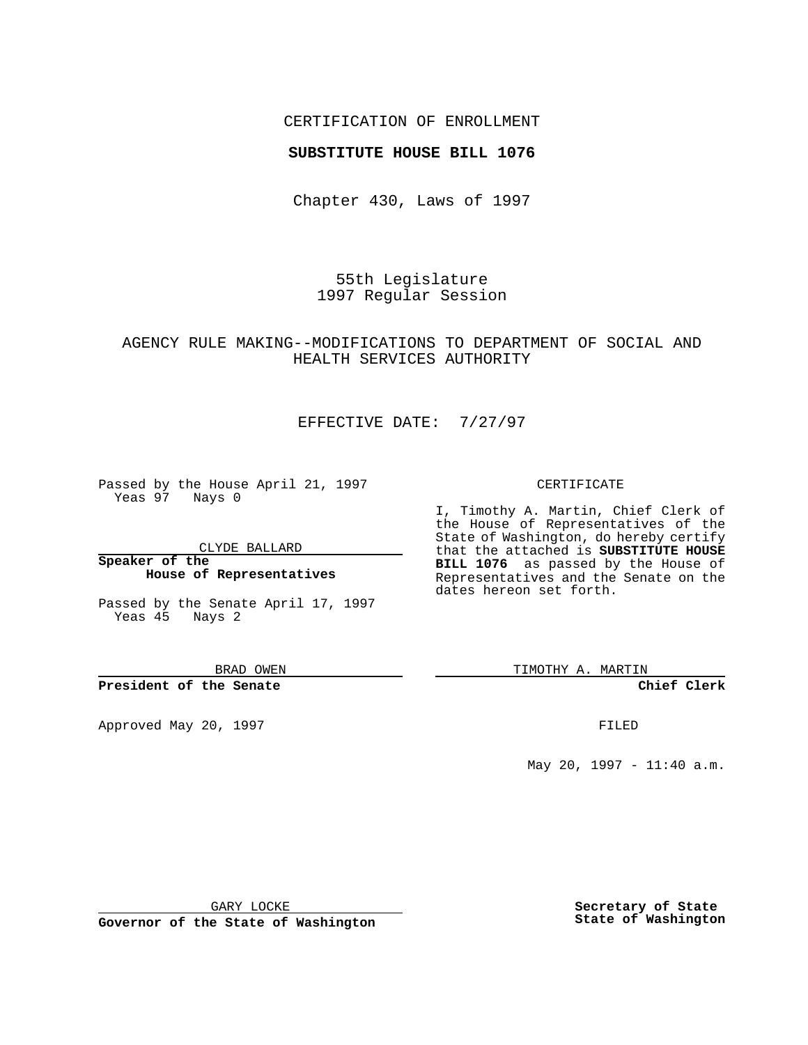### CERTIFICATION OF ENROLLMENT

### **SUBSTITUTE HOUSE BILL 1076**

Chapter 430, Laws of 1997

55th Legislature 1997 Regular Session

### AGENCY RULE MAKING--MODIFICATIONS TO DEPARTMENT OF SOCIAL AND HEALTH SERVICES AUTHORITY

# EFFECTIVE DATE: 7/27/97

Passed by the House April 21, 1997 Yeas 97 Nays 0

CLYDE BALLARD

**Speaker of the House of Representatives**

Passed by the Senate April 17, 1997 Yeas 45 Nays 2

BRAD OWEN

### **President of the Senate**

Approved May 20, 1997 **FILED** 

#### CERTIFICATE

I, Timothy A. Martin, Chief Clerk of the House of Representatives of the State of Washington, do hereby certify that the attached is **SUBSTITUTE HOUSE BILL 1076** as passed by the House of Representatives and the Senate on the dates hereon set forth.

TIMOTHY A. MARTIN

#### **Chief Clerk**

May 20, 1997 - 11:40 a.m.

GARY LOCKE

**Governor of the State of Washington**

**Secretary of State State of Washington**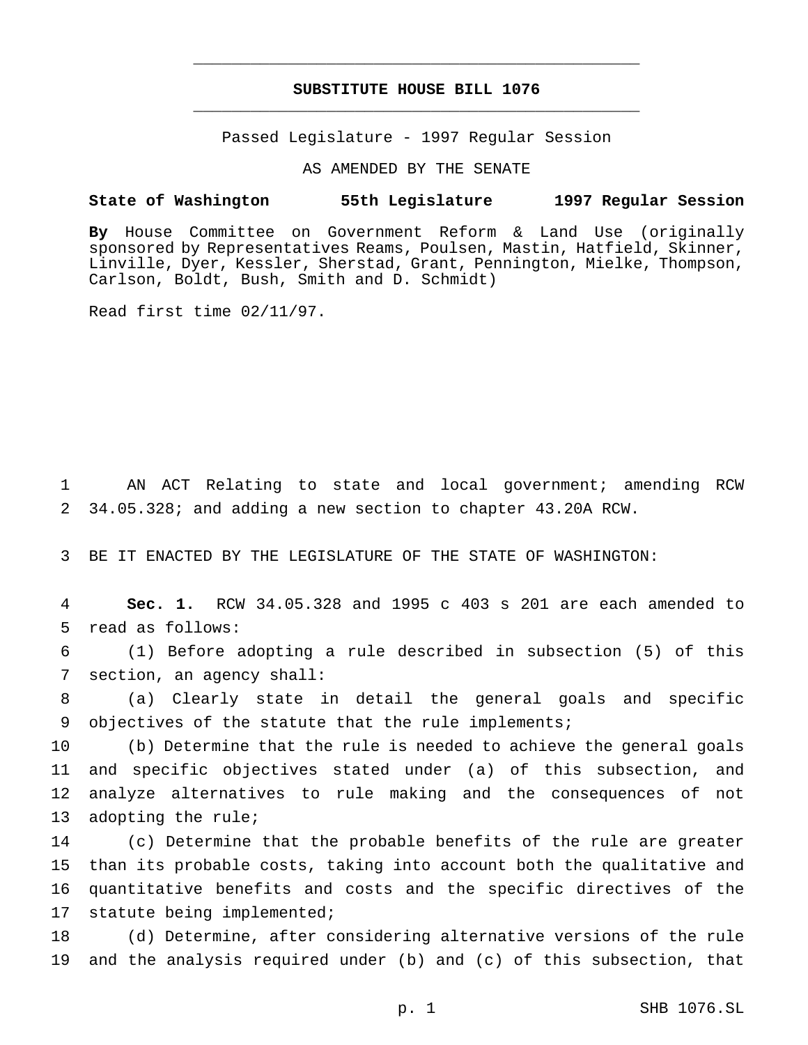# **SUBSTITUTE HOUSE BILL 1076** \_\_\_\_\_\_\_\_\_\_\_\_\_\_\_\_\_\_\_\_\_\_\_\_\_\_\_\_\_\_\_\_\_\_\_\_\_\_\_\_\_\_\_\_\_\_\_

\_\_\_\_\_\_\_\_\_\_\_\_\_\_\_\_\_\_\_\_\_\_\_\_\_\_\_\_\_\_\_\_\_\_\_\_\_\_\_\_\_\_\_\_\_\_\_

Passed Legislature - 1997 Regular Session

AS AMENDED BY THE SENATE

# **State of Washington 55th Legislature 1997 Regular Session**

**By** House Committee on Government Reform & Land Use (originally sponsored by Representatives Reams, Poulsen, Mastin, Hatfield, Skinner, Linville, Dyer, Kessler, Sherstad, Grant, Pennington, Mielke, Thompson, Carlson, Boldt, Bush, Smith and D. Schmidt)

Read first time 02/11/97.

 AN ACT Relating to state and local government; amending RCW 34.05.328; and adding a new section to chapter 43.20A RCW.

BE IT ENACTED BY THE LEGISLATURE OF THE STATE OF WASHINGTON:

 **Sec. 1.** RCW 34.05.328 and 1995 c 403 s 201 are each amended to read as follows:

 (1) Before adopting a rule described in subsection (5) of this section, an agency shall:

 (a) Clearly state in detail the general goals and specific objectives of the statute that the rule implements;

 (b) Determine that the rule is needed to achieve the general goals and specific objectives stated under (a) of this subsection, and analyze alternatives to rule making and the consequences of not adopting the rule;

 (c) Determine that the probable benefits of the rule are greater than its probable costs, taking into account both the qualitative and quantitative benefits and costs and the specific directives of the statute being implemented;

 (d) Determine, after considering alternative versions of the rule and the analysis required under (b) and (c) of this subsection, that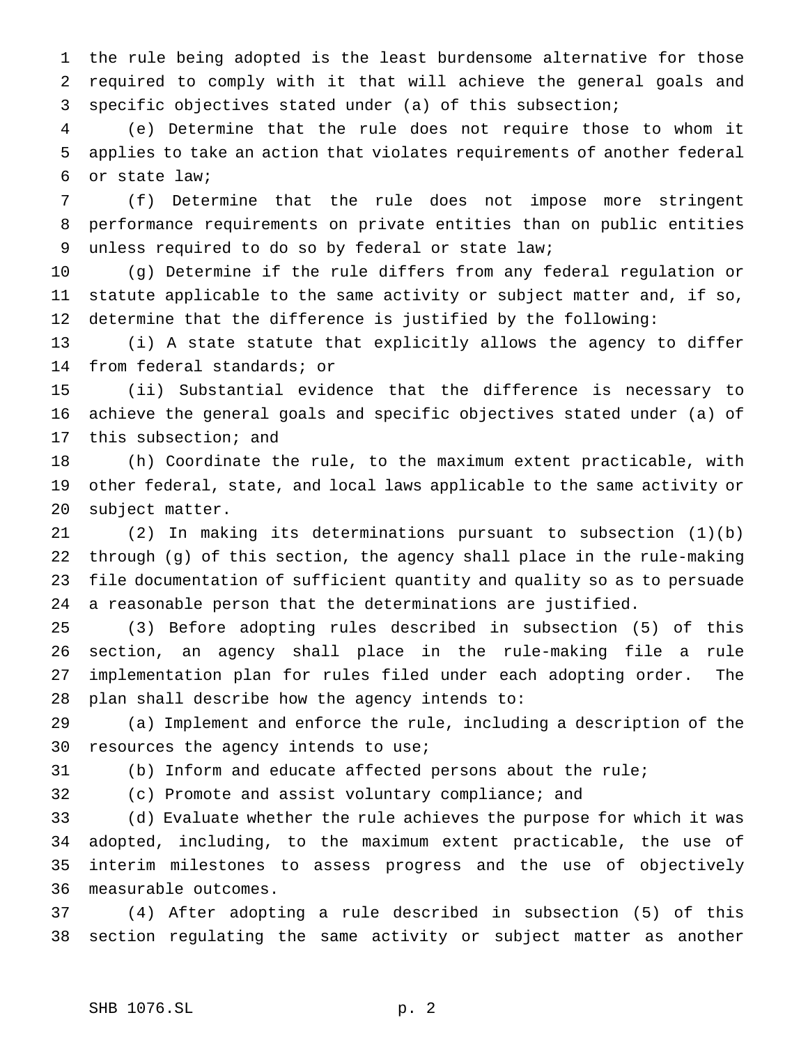the rule being adopted is the least burdensome alternative for those required to comply with it that will achieve the general goals and specific objectives stated under (a) of this subsection;

 (e) Determine that the rule does not require those to whom it applies to take an action that violates requirements of another federal or state law;

 (f) Determine that the rule does not impose more stringent performance requirements on private entities than on public entities unless required to do so by federal or state law;

 (g) Determine if the rule differs from any federal regulation or statute applicable to the same activity or subject matter and, if so, determine that the difference is justified by the following:

 (i) A state statute that explicitly allows the agency to differ from federal standards; or

 (ii) Substantial evidence that the difference is necessary to achieve the general goals and specific objectives stated under (a) of this subsection; and

 (h) Coordinate the rule, to the maximum extent practicable, with other federal, state, and local laws applicable to the same activity or subject matter.

 (2) In making its determinations pursuant to subsection (1)(b) through (g) of this section, the agency shall place in the rule-making file documentation of sufficient quantity and quality so as to persuade a reasonable person that the determinations are justified.

 (3) Before adopting rules described in subsection (5) of this section, an agency shall place in the rule-making file a rule implementation plan for rules filed under each adopting order. The plan shall describe how the agency intends to:

 (a) Implement and enforce the rule, including a description of the resources the agency intends to use;

(b) Inform and educate affected persons about the rule;

(c) Promote and assist voluntary compliance; and

 (d) Evaluate whether the rule achieves the purpose for which it was adopted, including, to the maximum extent practicable, the use of interim milestones to assess progress and the use of objectively measurable outcomes.

 (4) After adopting a rule described in subsection (5) of this section regulating the same activity or subject matter as another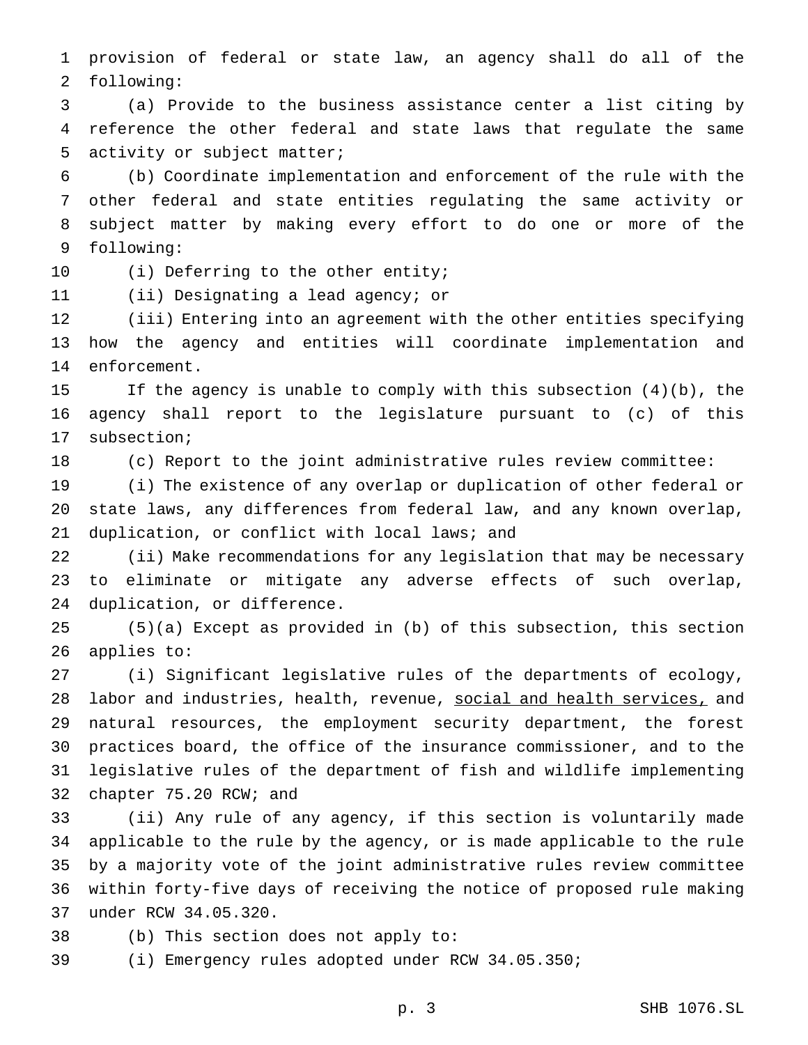provision of federal or state law, an agency shall do all of the following:

 (a) Provide to the business assistance center a list citing by reference the other federal and state laws that regulate the same activity or subject matter;

 (b) Coordinate implementation and enforcement of the rule with the other federal and state entities regulating the same activity or subject matter by making every effort to do one or more of the following:

(i) Deferring to the other entity;

(ii) Designating a lead agency; or

 (iii) Entering into an agreement with the other entities specifying how the agency and entities will coordinate implementation and enforcement.

 If the agency is unable to comply with this subsection (4)(b), the agency shall report to the legislature pursuant to (c) of this subsection;

(c) Report to the joint administrative rules review committee:

 (i) The existence of any overlap or duplication of other federal or state laws, any differences from federal law, and any known overlap, duplication, or conflict with local laws; and

 (ii) Make recommendations for any legislation that may be necessary to eliminate or mitigate any adverse effects of such overlap, duplication, or difference.

 (5)(a) Except as provided in (b) of this subsection, this section applies to:

 (i) Significant legislative rules of the departments of ecology, 28 labor and industries, health, revenue, social and health services, and natural resources, the employment security department, the forest practices board, the office of the insurance commissioner, and to the legislative rules of the department of fish and wildlife implementing chapter 75.20 RCW; and

 (ii) Any rule of any agency, if this section is voluntarily made applicable to the rule by the agency, or is made applicable to the rule by a majority vote of the joint administrative rules review committee within forty-five days of receiving the notice of proposed rule making under RCW 34.05.320.

(b) This section does not apply to:

(i) Emergency rules adopted under RCW 34.05.350;

p. 3 SHB 1076.SL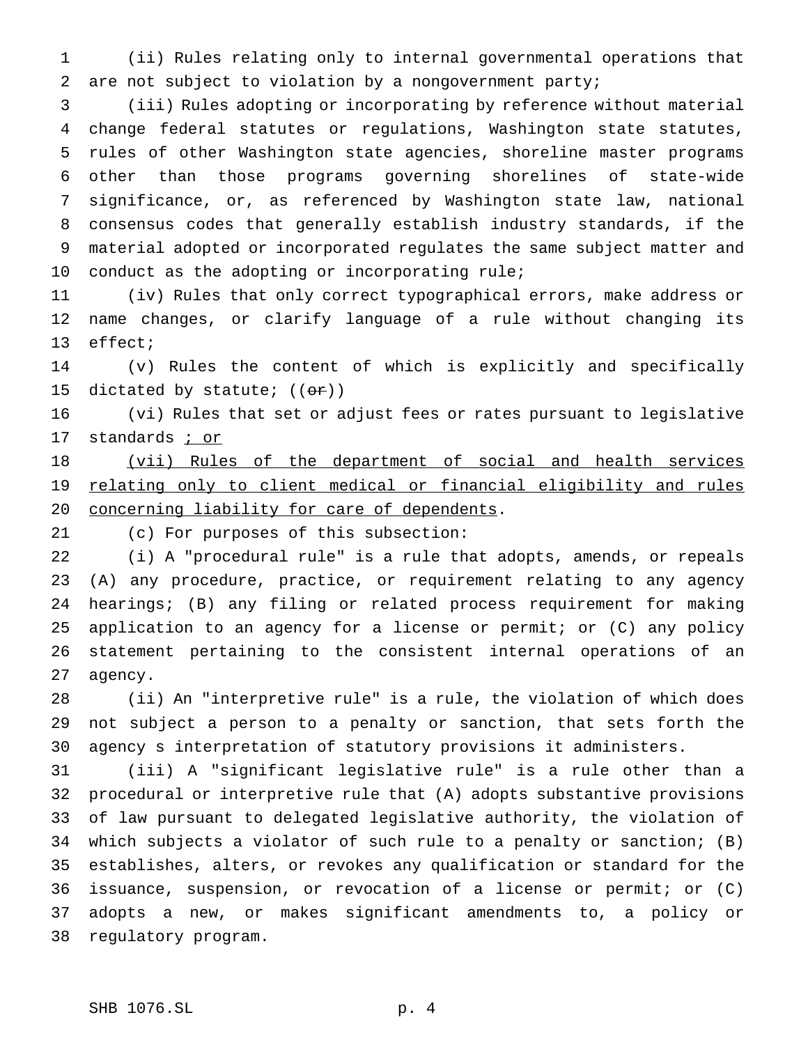(ii) Rules relating only to internal governmental operations that are not subject to violation by a nongovernment party;

 (iii) Rules adopting or incorporating by reference without material change federal statutes or regulations, Washington state statutes, rules of other Washington state agencies, shoreline master programs other than those programs governing shorelines of state-wide significance, or, as referenced by Washington state law, national consensus codes that generally establish industry standards, if the material adopted or incorporated regulates the same subject matter and conduct as the adopting or incorporating rule;

 (iv) Rules that only correct typographical errors, make address or name changes, or clarify language of a rule without changing its effect;

 (v) Rules the content of which is explicitly and specifically 15 dictated by statute;  $((\theta \hat{r}))$ 

 (vi) Rules that set or adjust fees or rates pursuant to legislative 17 standards *i* or

18 (vii) Rules of the department of social and health services 19 relating only to client medical or financial eligibility and rules concerning liability for care of dependents.

(c) For purposes of this subsection:

 (i) A "procedural rule" is a rule that adopts, amends, or repeals (A) any procedure, practice, or requirement relating to any agency hearings; (B) any filing or related process requirement for making application to an agency for a license or permit; or (C) any policy statement pertaining to the consistent internal operations of an agency.

 (ii) An "interpretive rule" is a rule, the violation of which does not subject a person to a penalty or sanction, that sets forth the agency s interpretation of statutory provisions it administers.

 (iii) A "significant legislative rule" is a rule other than a procedural or interpretive rule that (A) adopts substantive provisions of law pursuant to delegated legislative authority, the violation of which subjects a violator of such rule to a penalty or sanction; (B) establishes, alters, or revokes any qualification or standard for the issuance, suspension, or revocation of a license or permit; or (C) adopts a new, or makes significant amendments to, a policy or regulatory program.